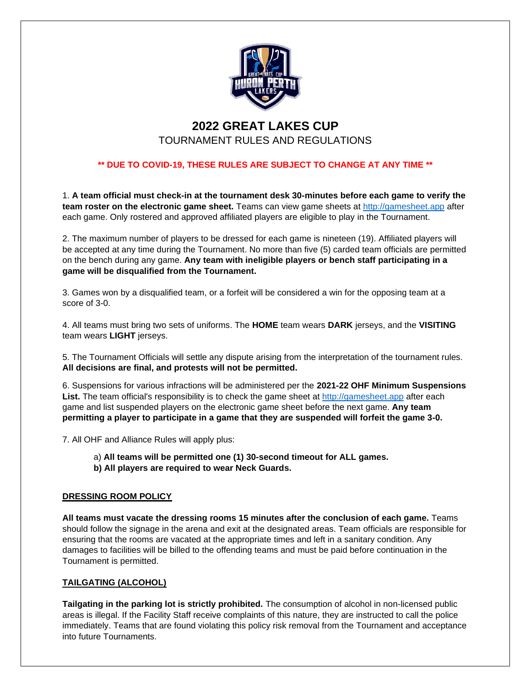

# **2022 GREAT LAKES CUP**

# TOURNAMENT RULES AND REGULATIONS

# **\*\* DUE TO COVID-19, THESE RULES ARE SUBJECT TO CHANGE AT ANY TIME \*\***

1. **A team official must check-in at the tournament desk 30-minutes before each game to verify the team roster on the electronic game sheet.** Teams can view game sheets at [http://gamesheet.app](http://gamesheet.app/) after each game. Only rostered and approved affiliated players are eligible to play in the Tournament.

2. The maximum number of players to be dressed for each game is nineteen (19). Affiliated players will be accepted at any time during the Tournament. No more than five (5) carded team officials are permitted on the bench during any game. **Any team with ineligible players or bench staff participating in a game will be disqualified from the Tournament.**

3. Games won by a disqualified team, or a forfeit will be considered a win for the opposing team at a score of 3-0.

4. All teams must bring two sets of uniforms. The **HOME** team wears **DARK** jerseys, and the **VISITING** team wears **LIGHT** jerseys.

5. The Tournament Officials will settle any dispute arising from the interpretation of the tournament rules. **All decisions are final, and protests will not be permitted.**

6. Suspensions for various infractions will be administered per the **2021-22 OHF Minimum Suspensions List.** The team official's responsibility is to check the game sheet at [http://gamesheet.app](http://gamesheet.app/) after each game and list suspended players on the electronic game sheet before the next game. **Any team permitting a player to participate in a game that they are suspended will forfeit the game 3-0.**

7. All OHF and Alliance Rules will apply plus:

- a) **All teams will be permitted one (1) 30-second timeout for ALL games.**
- **b) All players are required to wear Neck Guards.**

## **DRESSING ROOM POLICY**

**All teams must vacate the dressing rooms 15 minutes after the conclusion of each game.** Teams should follow the signage in the arena and exit at the designated areas. Team officials are responsible for ensuring that the rooms are vacated at the appropriate times and left in a sanitary condition. Any damages to facilities will be billed to the offending teams and must be paid before continuation in the Tournament is permitted.

## **TAILGATING (ALCOHOL)**

**Tailgating in the parking lot is strictly prohibited.** The consumption of alcohol in non-licensed public areas is illegal. If the Facility Staff receive complaints of this nature, they are instructed to call the police immediately. Teams that are found violating this policy risk removal from the Tournament and acceptance into future Tournaments.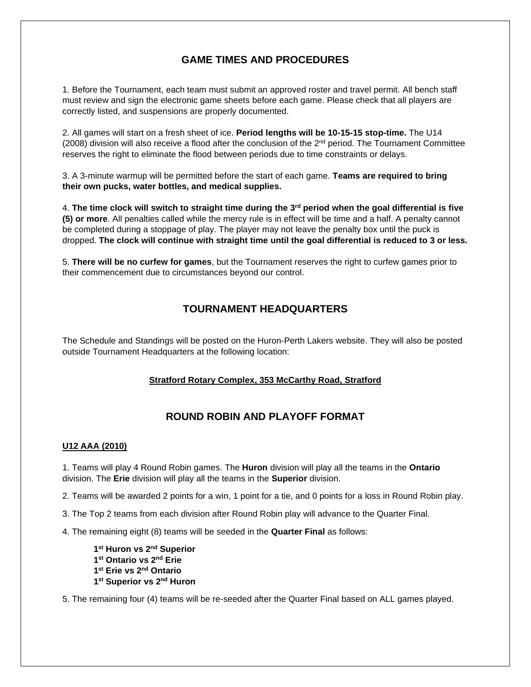# **GAME TIMES AND PROCEDURES**

1. Before the Tournament, each team must submit an approved roster and travel permit. All bench staff must review and sign the electronic game sheets before each game. Please check that all players are correctly listed, and suspensions are properly documented.

2. All games will start on a fresh sheet of ice. **Period lengths will be 10-15-15 stop-time.** The U14 (2008) division will also receive a flood after the conclusion of the 2nd period. The Tournament Committee reserves the right to eliminate the flood between periods due to time constraints or delays.

3. A 3-minute warmup will be permitted before the start of each game. **Teams are required to bring their own pucks, water bottles, and medical supplies.**

4. **The time clock will switch to straight time during the 3rd period when the goal differential is five (5) or more**. All penalties called while the mercy rule is in effect will be time and a half. A penalty cannot be completed during a stoppage of play. The player may not leave the penalty box until the puck is dropped. **The clock will continue with straight time until the goal differential is reduced to 3 or less.**

5. **There will be no curfew for games**, but the Tournament reserves the right to curfew games prior to their commencement due to circumstances beyond our control.

# **TOURNAMENT HEADQUARTERS**

The Schedule and Standings will be posted on the Huron-Perth Lakers website. They will also be posted outside Tournament Headquarters at the following location:

## **Stratford Rotary Complex, 353 McCarthy Road, Stratford**

# **ROUND ROBIN AND PLAYOFF FORMAT**

#### **U12 AAA (2010)**

1. Teams will play 4 Round Robin games. The **Huron** division will play all the teams in the **Ontario** division. The **Erie** division will play all the teams in the **Superior** division.

2. Teams will be awarded 2 points for a win, 1 point for a tie, and 0 points for a loss in Round Robin play.

3. The Top 2 teams from each division after Round Robin play will advance to the Quarter Final.

4. The remaining eight (8) teams will be seeded in the **Quarter Final** as follows:

```
1
st Huron vs 2nd Superior
1
st Ontario vs 2nd Erie
1
st Erie vs 2nd Ontario
1
st Superior vs 2nd Huron
```
5. The remaining four (4) teams will be re-seeded after the Quarter Final based on ALL games played.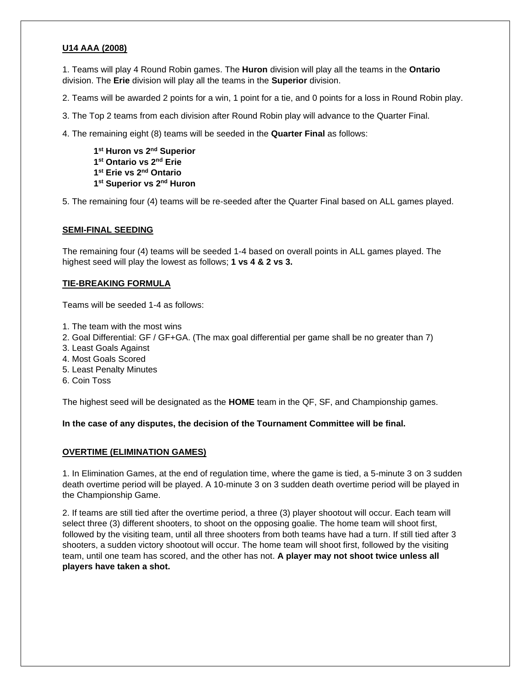## **U14 AAA (2008)**

1. Teams will play 4 Round Robin games. The **Huron** division will play all the teams in the **Ontario** division. The **Erie** division will play all the teams in the **Superior** division.

2. Teams will be awarded 2 points for a win, 1 point for a tie, and 0 points for a loss in Round Robin play.

3. The Top 2 teams from each division after Round Robin play will advance to the Quarter Final.

4. The remaining eight (8) teams will be seeded in the **Quarter Final** as follows:

 **st Huron vs 2nd Superior st Ontario vs 2nd Erie st Erie vs 2nd Ontario st Superior vs 2nd Huron**

5. The remaining four (4) teams will be re-seeded after the Quarter Final based on ALL games played.

#### **SEMI-FINAL SEEDING**

The remaining four (4) teams will be seeded 1-4 based on overall points in ALL games played. The highest seed will play the lowest as follows; **1 vs 4 & 2 vs 3.**

#### **TIE-BREAKING FORMULA**

Teams will be seeded 1-4 as follows:

- 1. The team with the most wins
- 2. Goal Differential: GF / GF+GA. (The max goal differential per game shall be no greater than 7)
- 3. Least Goals Against
- 4. Most Goals Scored
- 5. Least Penalty Minutes
- 6. Coin Toss

The highest seed will be designated as the **HOME** team in the QF, SF, and Championship games.

**In the case of any disputes, the decision of the Tournament Committee will be final.**

#### **OVERTIME (ELIMINATION GAMES)**

1. In Elimination Games, at the end of regulation time, where the game is tied, a 5-minute 3 on 3 sudden death overtime period will be played. A 10-minute 3 on 3 sudden death overtime period will be played in the Championship Game.

2. If teams are still tied after the overtime period, a three (3) player shootout will occur. Each team will select three (3) different shooters, to shoot on the opposing goalie. The home team will shoot first, followed by the visiting team, until all three shooters from both teams have had a turn. If still tied after 3 shooters, a sudden victory shootout will occur. The home team will shoot first, followed by the visiting team, until one team has scored, and the other has not. **A player may not shoot twice unless all players have taken a shot.**